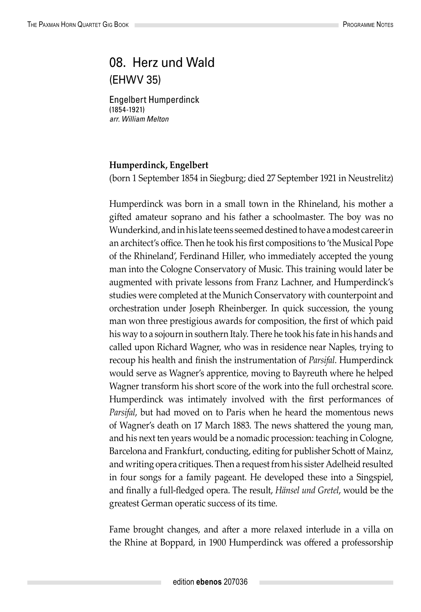## 08. Herz und Wald (EHWV 35)

Engelbert Humperdinck (1854-1921) *arr. William Melton*

## **Humperdinck, Engelbert**

(born 1 September 1854 in Siegburg; died 27 September 1921 in Neustrelitz)

Humperdinck was born in a small town in the Rhineland, his mother a gifted amateur soprano and his father a schoolmaster. The boy was no Wunderkind, and in his late teens seemed destined to have a modest career in an architect's office. Then he took his first compositions to 'the Musical Pope of the Rhineland', Ferdinand Hiller, who immediately accepted the young man into the Cologne Conservatory of Music. This training would later be augmented with private lessons from Franz Lachner, and Humperdinck's studies were completed at the Munich Conservatory with counterpoint and orchestration under Joseph Rheinberger. In quick succession, the young man won three prestigious awards for composition, the first of which paid his way to a sojourn in southern Italy. There he took his fate in his hands and called upon Richard Wagner, who was in residence near Naples, trying to recoup his health and finish the instrumentation of *Parsifal*. Humperdinck would serve as Wagner's apprentice, moving to Bayreuth where he helped Wagner transform his short score of the work into the full orchestral score. Humperdinck was intimately involved with the first performances of *Parsifal*, but had moved on to Paris when he heard the momentous news of Wagner's death on 17 March 1883. The news shattered the young man, and his next ten years would be a nomadic procession: teaching in Cologne, Barcelona and Frankfurt, conducting, editing for publisher Schott of Mainz, and writing opera critiques. Then a request from his sister Adelheid resulted in four songs for a family pageant. He developed these into a Singspiel, and finally a full-fledged opera. The result, *Hänsel und Gretel*, would be the greatest German operatic success of its time.

Fame brought changes, and after a more relaxed interlude in a villa on the Rhine at Boppard, in 1900 Humperdinck was offered a professorship